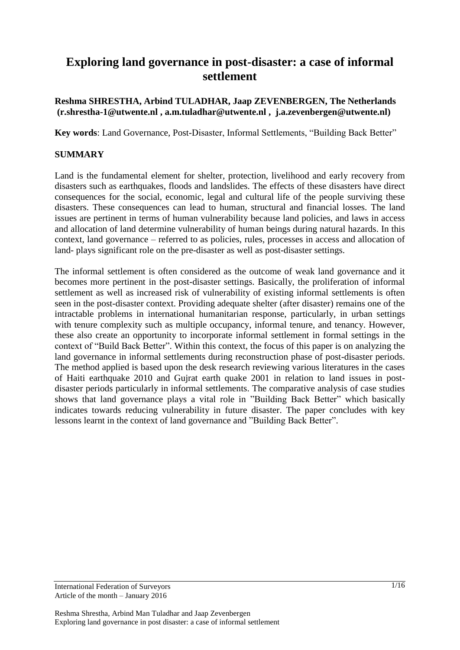# **Exploring land governance in post-disaster: a case of informal settlement**

### **Reshma SHRESTHA, Arbind TULADHAR, Jaap ZEVENBERGEN, The Netherlands (r.shrestha-1@utwente.nl , a.m.tuladhar@utwente.nl , j.a.zevenbergen@utwente.nl)**

**Key words**: Land Governance, Post-Disaster, Informal Settlements, "Building Back Better"

### **SUMMARY**

Land is the fundamental element for shelter, protection, livelihood and early recovery from disasters such as earthquakes, floods and landslides. The effects of these disasters have direct consequences for the social, economic, legal and cultural life of the people surviving these disasters. These consequences can lead to human, structural and financial losses. The land issues are pertinent in terms of human vulnerability because land policies, and laws in access and allocation of land determine vulnerability of human beings during natural hazards. In this context, land governance – referred to as policies, rules, processes in access and allocation of land- plays significant role on the pre-disaster as well as post-disaster settings.

The informal settlement is often considered as the outcome of weak land governance and it becomes more pertinent in the post-disaster settings. Basically, the proliferation of informal settlement as well as increased risk of vulnerability of existing informal settlements is often seen in the post-disaster context. Providing adequate shelter (after disaster) remains one of the intractable problems in international humanitarian response, particularly, in urban settings with tenure complexity such as multiple occupancy, informal tenure, and tenancy. However, these also create an opportunity to incorporate informal settlement in formal settings in the context of "Build Back Better". Within this context, the focus of this paper is on analyzing the land governance in informal settlements during reconstruction phase of post-disaster periods. The method applied is based upon the desk research reviewing various literatures in the cases of Haiti earthquake 2010 and Gujrat earth quake 2001 in relation to land issues in postdisaster periods particularly in informal settlements. The comparative analysis of case studies shows that land governance plays a vital role in "Building Back Better" which basically indicates towards reducing vulnerability in future disaster. The paper concludes with key lessons learnt in the context of land governance and "Building Back Better".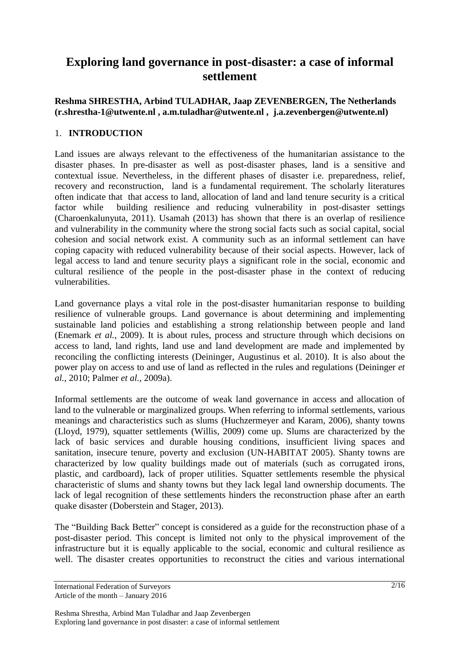# **Exploring land governance in post-disaster: a case of informal settlement**

### **Reshma SHRESTHA, Arbind TULADHAR, Jaap ZEVENBERGEN, The Netherlands (r.shrestha-1@utwente.nl , a.m.tuladhar@utwente.nl , j.a.zevenbergen@utwente.nl)**

## 1. **INTRODUCTION**

Land issues are always relevant to the effectiveness of the humanitarian assistance to the disaster phases. In pre-disaster as well as post-disaster phases, land is a sensitive and contextual issue. Nevertheless, in the different phases of disaster i.e. preparedness, relief, recovery and reconstruction, land is a fundamental requirement. The scholarly literatures often indicate that that access to land, allocation of land and land tenure security is a critical factor while building resilience and reducing vulnerability in post-disaster settings (Charoenkalunyuta, 2011). Usamah (2013) has shown that there is an overlap of resilience and vulnerability in the community where the strong social facts such as social capital, social cohesion and social network exist. A community such as an informal settlement can have coping capacity with reduced vulnerability because of their social aspects. However, lack of legal access to land and tenure security plays a significant role in the social, economic and cultural resilience of the people in the post-disaster phase in the context of reducing vulnerabilities.

Land governance plays a vital role in the post-disaster humanitarian response to building resilience of vulnerable groups. Land governance is about determining and implementing sustainable land policies and establishing a strong relationship between people and land (Enemark *et al.*, 2009). It is about rules, process and structure through which decisions on access to land, land rights, land use and land development are made and implemented by reconciling the conflicting interests (Deininger, Augustinus et al. 2010). It is also about the power play on access to and use of land as reflected in the rules and regulations (Deininger *et al.*, 2010; Palmer *et al.*, 2009a).

Informal settlements are the outcome of weak land governance in access and allocation of land to the vulnerable or marginalized groups. When referring to informal settlements, various meanings and characteristics such as slums (Huchzermeyer and Karam, 2006), shanty towns (Lloyd, 1979), squatter settlements (Willis, 2009) come up. Slums are characterized by the lack of basic services and durable housing conditions, insufficient living spaces and sanitation, insecure tenure, poverty and exclusion (UN-HABITAT 2005). Shanty towns are characterized by low quality buildings made out of materials (such as corrugated irons, plastic, and cardboard), lack of proper utilities. Squatter settlements resemble the physical characteristic of slums and shanty towns but they lack legal land ownership documents. The lack of legal recognition of these settlements hinders the reconstruction phase after an earth quake disaster (Doberstein and Stager, 2013).

The "Building Back Better" concept is considered as a guide for the reconstruction phase of a post-disaster period. This concept is limited not only to the physical improvement of the infrastructure but it is equally applicable to the social, economic and cultural resilience as well. The disaster creates opportunities to reconstruct the cities and various international

International Federation of Surveyors Article of the month – January 2016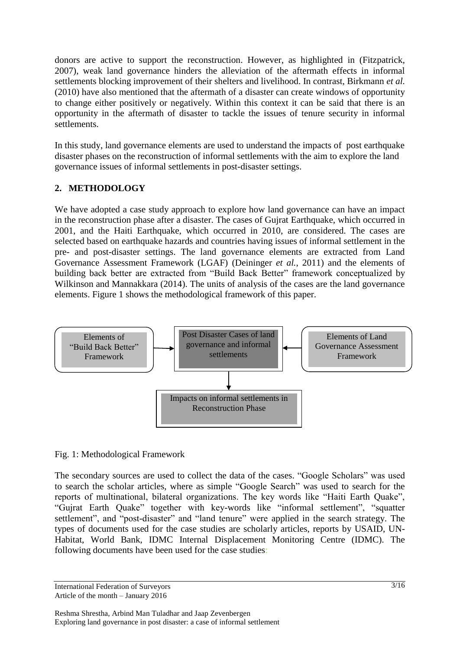donors are active to support the reconstruction. However, as highlighted in (Fitzpatrick, 2007), weak land governance hinders the alleviation of the aftermath effects in informal settlements blocking improvement of their shelters and livelihood. In contrast, Birkmann *et al.* (2010) have also mentioned that the aftermath of a disaster can create windows of opportunity to change either positively or negatively. Within this context it can be said that there is an opportunity in the aftermath of disaster to tackle the issues of tenure security in informal settlements.

In this study, land governance elements are used to understand the impacts of post earthquake disaster phases on the reconstruction of informal settlements with the aim to explore the land governance issues of informal settlements in post-disaster settings.

## **2. METHODOLOGY**

We have adopted a case study approach to explore how land governance can have an impact in the reconstruction phase after a disaster. The cases of Gujrat Earthquake, which occurred in 2001, and the Haiti Earthquake, which occurred in 2010, are considered. The cases are selected based on earthquake hazards and countries having issues of informal settlement in the pre- and post-disaster settings. The land governance elements are extracted from Land Governance Assessment Framework (LGAF) (Deininger *et al.*, 2011) and the elements of building back better are extracted from "Build Back Better" framework conceptualized by Wilkinson and Mannakkara (2014). The units of analysis of the cases are the land governance elements. Figure 1 shows the methodological framework of this paper.



### Fig. 1: Methodological Framework

The secondary sources are used to collect the data of the cases. "Google Scholars" was used to search the scholar articles, where as simple "Google Search" was used to search for the reports of multinational, bilateral organizations. The key words like "Haiti Earth Quake", "Gujrat Earth Quake" together with key-words like "informal settlement", "squatter settlement", and "post-disaster" and "land tenure" were applied in the search strategy. The types of documents used for the case studies are scholarly articles, reports by USAID, UN-Habitat, World Bank, IDMC Internal Displacement Monitoring Centre (IDMC). The following documents have been used for the case studies: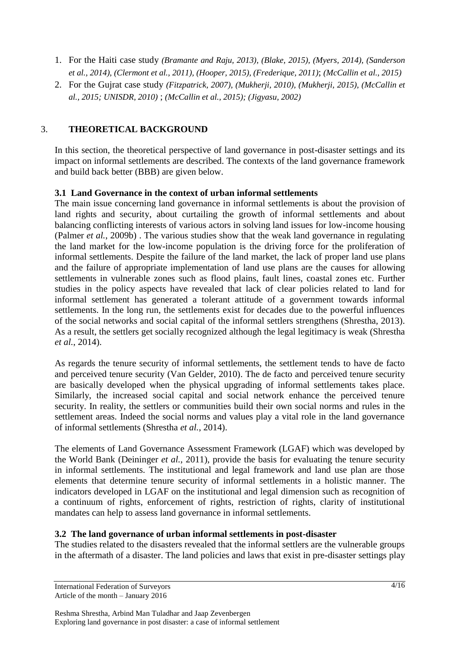- 1. For the Haiti case study *(Bramante and Raju, 2013), (Blake, 2015), (Myers, 2014), (Sanderson et al., 2014), (Clermont et al., 2011), (Hooper, 2015), (Frederique, 2011)*; *(McCallin et al., 2015)*
- 2. For the Gujrat case study *(Fitzpatrick, 2007), (Mukherji, 2010), (Mukherji, 2015), (McCallin et al., 2015; UNISDR, 2010)* ; *(McCallin et al., 2015); (Jigyasu, 2002)*

## 3. **THEORETICAL BACKGROUND**

In this section, the theoretical perspective of land governance in post-disaster settings and its impact on informal settlements are described. The contexts of the land governance framework and build back better (BBB) are given below.

### **3.1 Land Governance in the context of urban informal settlements**

The main issue concerning land governance in informal settlements is about the provision of land rights and security, about curtailing the growth of informal settlements and about balancing conflicting interests of various actors in solving land issues for low-income housing (Palmer *et al.*, 2009b) . The various studies show that the weak land governance in regulating the land market for the low-income population is the driving force for the proliferation of informal settlements. Despite the failure of the land market, the lack of proper land use plans and the failure of appropriate implementation of land use plans are the causes for allowing settlements in vulnerable zones such as flood plains, fault lines, coastal zones etc. Further studies in the policy aspects have revealed that lack of clear policies related to land for informal settlement has generated a tolerant attitude of a government towards informal settlements. In the long run, the settlements exist for decades due to the powerful influences of the social networks and social capital of the informal settlers strengthens (Shrestha, 2013). As a result, the settlers get socially recognized although the legal legitimacy is weak (Shrestha *et al.*, 2014).

As regards the tenure security of informal settlements, the settlement tends to have de facto and perceived tenure security (Van Gelder, 2010). The de facto and perceived tenure security are basically developed when the physical upgrading of informal settlements takes place. Similarly, the increased social capital and social network enhance the perceived tenure security. In reality, the settlers or communities build their own social norms and rules in the settlement areas. Indeed the social norms and values play a vital role in the land governance of informal settlements (Shrestha *et al.*, 2014).

The elements of Land Governance Assessment Framework (LGAF) which was developed by the World Bank (Deininger *et al.*, 2011), provide the basis for evaluating the tenure security in informal settlements. The institutional and legal framework and land use plan are those elements that determine tenure security of informal settlements in a holistic manner. The indicators developed in LGAF on the institutional and legal dimension such as recognition of a continuum of rights, enforcement of rights, restriction of rights, clarity of institutional mandates can help to assess land governance in informal settlements.

### **3.2 The land governance of urban informal settlements in post-disaster**

The studies related to the disasters revealed that the informal settlers are the vulnerable groups in the aftermath of a disaster. The land policies and laws that exist in pre-disaster settings play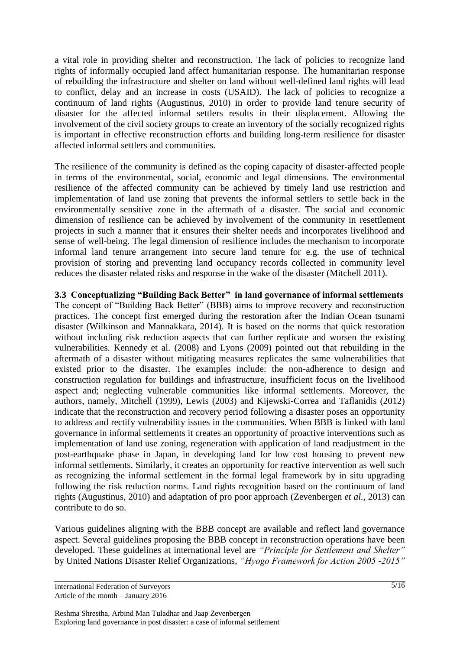a vital role in providing shelter and reconstruction. The lack of policies to recognize land rights of informally occupied land affect humanitarian response. The humanitarian response of rebuilding the infrastructure and shelter on land without well-defined land rights will lead to conflict, delay and an increase in costs (USAID). The lack of policies to recognize a continuum of land rights (Augustinus, 2010) in order to provide land tenure security of disaster for the affected informal settlers results in their displacement. Allowing the involvement of the civil society groups to create an inventory of the socially recognized rights is important in effective reconstruction efforts and building long-term resilience for disaster affected informal settlers and communities.

The resilience of the community is defined as the coping capacity of disaster-affected people in terms of the environmental, social, economic and legal dimensions. The environmental resilience of the affected community can be achieved by timely land use restriction and implementation of land use zoning that prevents the informal settlers to settle back in the environmentally sensitive zone in the aftermath of a disaster. The social and economic dimension of resilience can be achieved by involvement of the community in resettlement projects in such a manner that it ensures their shelter needs and incorporates livelihood and sense of well-being. The legal dimension of resilience includes the mechanism to incorporate informal land tenure arrangement into secure land tenure for e.g. the use of technical provision of storing and preventing land occupancy records collected in community level reduces the disaster related risks and response in the wake of the disaster (Mitchell 2011).

**3.3 Conceptualizing "Building Back Better" in land governance of informal settlements** The concept of "Building Back Better" (BBB) aims to improve recovery and reconstruction practices. The concept first emerged during the restoration after the Indian Ocean tsunami disaster (Wilkinson and Mannakkara, 2014). It is based on the norms that quick restoration without including risk reduction aspects that can further replicate and worsen the existing vulnerabilities. Kennedy et al. (2008) and Lyons (2009) pointed out that rebuilding in the aftermath of a disaster without mitigating measures replicates the same vulnerabilities that existed prior to the disaster. The examples include: the non-adherence to design and construction regulation for buildings and infrastructure, insufficient focus on the livelihood aspect and; neglecting vulnerable communities like informal settlements. Moreover, the authors, namely, Mitchell (1999), Lewis (2003) and Kijewski-Correa and Taflanidis (2012) indicate that the reconstruction and recovery period following a disaster poses an opportunity to address and rectify vulnerability issues in the communities. When BBB is linked with land governance in informal settlements it creates an opportunity of proactive interventions such as implementation of land use zoning, regeneration with application of land readjustment in the post-earthquake phase in Japan, in developing land for low cost housing to prevent new informal settlements. Similarly, it creates an opportunity for reactive intervention as well such as recognizing the informal settlement in the formal legal framework by in situ upgrading following the risk reduction norms. Land rights recognition based on the continuum of land rights (Augustinus, 2010) and adaptation of pro poor approach (Zevenbergen *et al.*, 2013) can contribute to do so.

Various guidelines aligning with the BBB concept are available and reflect land governance aspect. Several guidelines proposing the BBB concept in reconstruction operations have been developed. These guidelines at international level are *"Principle for Settlement and Shelter"*  by United Nations Disaster Relief Organizations, *"Hyogo Framework for Action 2005 -2015"*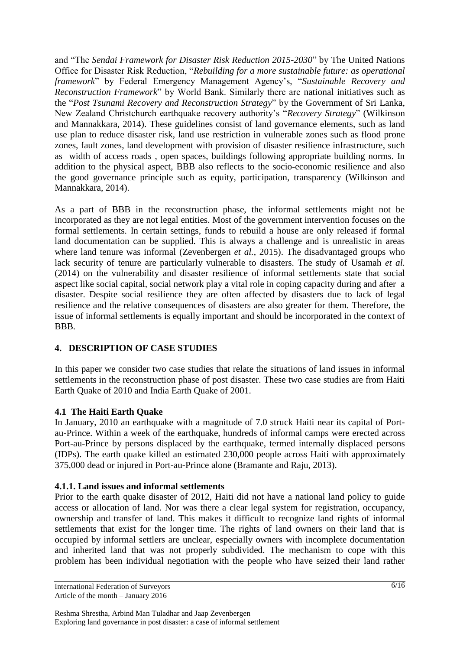and "The *Sendai Framework for Disaster Risk Reduction 2015-2030*" by The United Nations Office for Disaster Risk Reduction, "*Rebuilding for a more sustainable future: as operational framework*" by Federal Emergency Management Agency"s, "*Sustainable Recovery and Reconstruction Framework*" by World Bank. Similarly there are national initiatives such as the "*Post Tsunami Recovery and Reconstruction Strategy*" by the Government of Sri Lanka, New Zealand Christchurch earthquake recovery authority"s "*Recovery Strategy*" (Wilkinson and Mannakkara, 2014). These guidelines consist of land governance elements, such as land use plan to reduce disaster risk, land use restriction in vulnerable zones such as flood prone zones, fault zones, land development with provision of disaster resilience infrastructure, such as width of access roads , open spaces, buildings following appropriate building norms. In addition to the physical aspect, BBB also reflects to the socio-economic resilience and also the good governance principle such as equity, participation, transparency (Wilkinson and Mannakkara, 2014).

As a part of BBB in the reconstruction phase, the informal settlements might not be incorporated as they are not legal entities. Most of the government intervention focuses on the formal settlements. In certain settings, funds to rebuild a house are only released if formal land documentation can be supplied. This is always a challenge and is unrealistic in areas where land tenure was informal (Zevenbergen *et al.*, 2015). The disadvantaged groups who lack security of tenure are particularly vulnerable to disasters. The study of Usamah *et al.* (2014) on the vulnerability and disaster resilience of informal settlements state that social aspect like social capital, social network play a vital role in coping capacity during and after a disaster. Despite social resilience they are often affected by disasters due to lack of legal resilience and the relative consequences of disasters are also greater for them. Therefore, the issue of informal settlements is equally important and should be incorporated in the context of BBB.

### **4. DESCRIPTION OF CASE STUDIES**

In this paper we consider two case studies that relate the situations of land issues in informal settlements in the reconstruction phase of post disaster. These two case studies are from Haiti Earth Quake of 2010 and India Earth Quake of 2001.

### **4.1 The Haiti Earth Quake**

In January, 2010 an earthquake with a magnitude of 7.0 struck Haiti near its capital of Portau-Prince. Within a week of the earthquake, hundreds of informal camps were erected across Port-au-Prince by persons displaced by the earthquake, termed internally displaced persons (IDPs). The earth quake killed an estimated 230,000 people across Haiti with approximately 375,000 dead or injured in Port-au-Prince alone (Bramante and Raju, 2013).

### **4.1.1. Land issues and informal settlements**

Prior to the earth quake disaster of 2012, Haiti did not have a national land policy to guide access or allocation of land. Nor was there a clear legal system for registration, occupancy, ownership and transfer of land. This makes it difficult to recognize land rights of informal settlements that exist for the longer time. The rights of land owners on their land that is occupied by informal settlers are unclear, especially owners with incomplete documentation and inherited land that was not properly subdivided. The mechanism to cope with this problem has been individual negotiation with the people who have seized their land rather

International Federation of Surveyors Article of the month – January 2016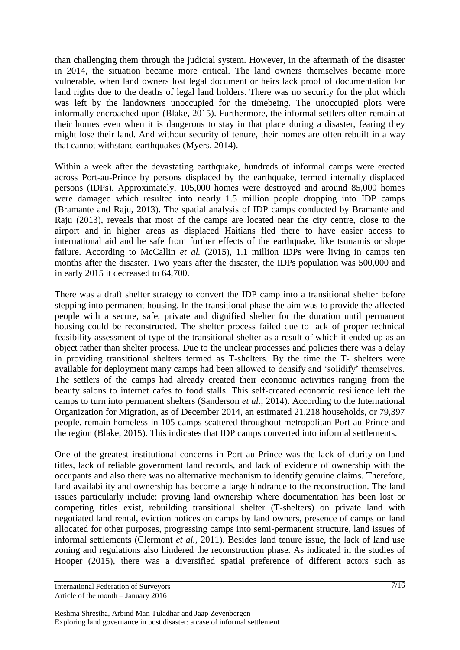than challenging them through the judicial system. However, in the aftermath of the disaster in 2014, the situation became more critical. The land owners themselves became more vulnerable, when land owners lost legal document or heirs lack proof of documentation for land rights due to the deaths of legal land holders. There was no security for the plot which was left by the landowners unoccupied for the timebeing. The unoccupied plots were informally encroached upon (Blake, 2015). Furthermore, the informal settlers often remain at their homes even when it is dangerous to stay in that place during a disaster, fearing they might lose their land. And without security of tenure, their homes are often rebuilt in a way that cannot withstand earthquakes (Myers, 2014).

Within a week after the devastating earthquake, hundreds of informal camps were erected across Port-au-Prince by persons displaced by the earthquake, termed internally displaced persons (IDPs). Approximately, 105,000 homes were destroyed and around 85,000 homes were damaged which resulted into nearly 1.5 million people dropping into IDP camps (Bramante and Raju, 2013). The spatial analysis of IDP camps conducted by Bramante and Raju (2013), reveals that most of the camps are located near the city centre, close to the airport and in higher areas as displaced Haitians fled there to have easier access to international aid and be safe from further effects of the earthquake, like tsunamis or slope failure. According to McCallin *et al.* (2015), 1.1 million IDPs were living in camps ten months after the disaster. Two years after the disaster, the IDPs population was 500,000 and in early 2015 it decreased to 64,700.

There was a draft shelter strategy to convert the IDP camp into a transitional shelter before stepping into permanent housing. In the transitional phase the aim was to provide the affected people with a secure, safe, private and dignified shelter for the duration until permanent housing could be reconstructed. The shelter process failed due to lack of proper technical feasibility assessment of type of the transitional shelter as a result of which it ended up as an object rather than shelter process. Due to the unclear processes and policies there was a delay in providing transitional shelters termed as T-shelters. By the time the T- shelters were available for deployment many camps had been allowed to densify and "solidify" themselves. The settlers of the camps had already created their economic activities ranging from the beauty salons to internet cafes to food stalls. This self-created economic resilience left the camps to turn into permanent shelters (Sanderson *et al.*, 2014). According to the International Organization for Migration, as of December 2014, an estimated 21,218 households, or 79,397 people, remain homeless in 105 camps scattered throughout metropolitan Port-au-Prince and the region (Blake, 2015). This indicates that IDP camps converted into informal settlements.

One of the greatest institutional concerns in Port au Prince was the lack of clarity on land titles, lack of reliable government land records, and lack of evidence of ownership with the occupants and also there was no alternative mechanism to identify genuine claims. Therefore, land availability and ownership has become a large hindrance to the reconstruction. The land issues particularly include: proving land ownership where documentation has been lost or competing titles exist, rebuilding transitional shelter (T-shelters) on private land with negotiated land rental, eviction notices on camps by land owners, presence of camps on land allocated for other purposes, progressing camps into semi-permanent structure, land issues of informal settlements (Clermont *et al.*, 2011). Besides land tenure issue, the lack of land use zoning and regulations also hindered the reconstruction phase. As indicated in the studies of Hooper (2015), there was a diversified spatial preference of different actors such as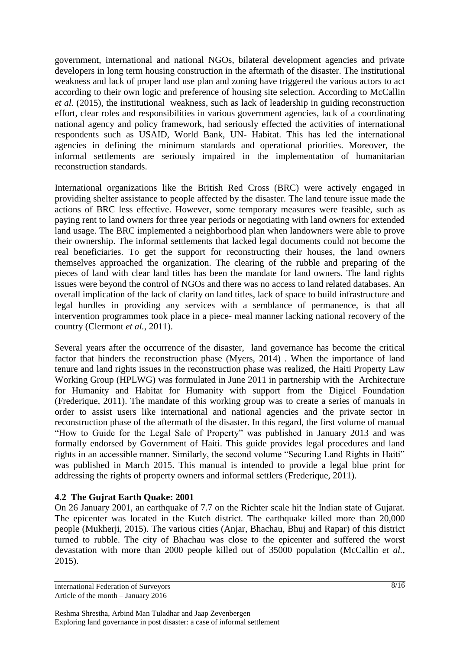government, international and national NGOs, bilateral development agencies and private developers in long term housing construction in the aftermath of the disaster. The institutional weakness and lack of proper land use plan and zoning have triggered the various actors to act according to their own logic and preference of housing site selection. According to McCallin *et al.* (2015), the institutional weakness, such as lack of leadership in guiding reconstruction effort, clear roles and responsibilities in various government agencies, lack of a coordinating national agency and policy framework, had seriously effected the activities of international respondents such as USAID, World Bank, UN- Habitat. This has led the international agencies in defining the minimum standards and operational priorities. Moreover, the informal settlements are seriously impaired in the implementation of humanitarian reconstruction standards.

International organizations like the British Red Cross (BRC) were actively engaged in providing shelter assistance to people affected by the disaster. The land tenure issue made the actions of BRC less effective. However, some temporary measures were feasible, such as paying rent to land owners for three year periods or negotiating with land owners for extended land usage. The BRC implemented a neighborhood plan when landowners were able to prove their ownership. The informal settlements that lacked legal documents could not become the real beneficiaries. To get the support for reconstructing their houses, the land owners themselves approached the organization. The clearing of the rubble and preparing of the pieces of land with clear land titles has been the mandate for land owners. The land rights issues were beyond the control of NGOs and there was no access to land related databases. An overall implication of the lack of clarity on land titles, lack of space to build infrastructure and legal hurdles in providing any services with a semblance of permanence, is that all intervention programmes took place in a piece- meal manner lacking national recovery of the country (Clermont *et al.*, 2011).

Several years after the occurrence of the disaster, land governance has become the critical factor that hinders the reconstruction phase (Myers, 2014) . When the importance of land tenure and land rights issues in the reconstruction phase was realized, the Haiti Property Law Working Group (HPLWG) was formulated in June 2011 in partnership with the Architecture for Humanity and Habitat for Humanity with support from the Digicel Foundation (Frederique, 2011). The mandate of this working group was to create a series of manuals in order to assist users like international and national agencies and the private sector in reconstruction phase of the aftermath of the disaster. In this regard, the first volume of manual "How to Guide for the Legal Sale of Property" was published in January 2013 and was formally endorsed by Government of Haiti. This guide provides legal procedures and land rights in an accessible manner. Similarly, the second volume "Securing Land Rights in Haiti" was published in March 2015. This manual is intended to provide a legal blue print for addressing the rights of property owners and informal settlers (Frederique, 2011).

### **4.2 The Gujrat Earth Quake: 2001**

On 26 January 2001, an earthquake of 7.7 on the Richter scale hit the Indian state of Gujarat. The epicenter was located in the Kutch district. The earthquake killed more than 20,000 people (Mukherji, 2015). The various cities (Anjar, Bhachau, Bhuj and Rapar) of this district turned to rubble. The city of Bhachau was close to the epicenter and suffered the worst devastation with more than 2000 people killed out of 35000 population (McCallin *et al.*, 2015).

International Federation of Surveyors Article of the month – January 2016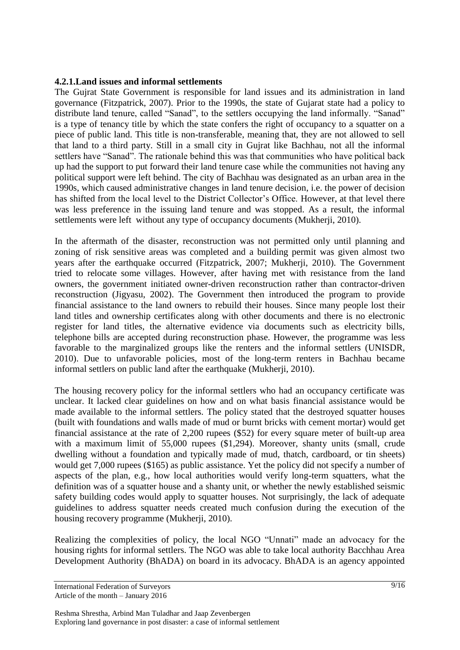#### **4.2.1.Land issues and informal settlements**

The Gujrat State Government is responsible for land issues and its administration in land governance (Fitzpatrick, 2007). Prior to the 1990s, the state of Gujarat state had a policy to distribute land tenure, called "Sanad", to the settlers occupying the land informally. "Sanad" is a type of tenancy title by which the state confers the right of occupancy to a squatter on a piece of public land. This title is non-transferable, meaning that, they are not allowed to sell that land to a third party. Still in a small city in Gujrat like Bachhau, not all the informal settlers have "Sanad". The rationale behind this was that communities who have political back up had the support to put forward their land tenure case while the communities not having any political support were left behind. The city of Bachhau was designated as an urban area in the 1990s, which caused administrative changes in land tenure decision, i.e. the power of decision has shifted from the local level to the District Collector's Office. However, at that level there was less preference in the issuing land tenure and was stopped. As a result, the informal settlements were left without any type of occupancy documents (Mukherji, 2010).

In the aftermath of the disaster, reconstruction was not permitted only until planning and zoning of risk sensitive areas was completed and a building permit was given almost two years after the earthquake occurred (Fitzpatrick, 2007; Mukherji, 2010). The Government tried to relocate some villages. However, after having met with resistance from the land owners, the government initiated owner-driven reconstruction rather than contractor-driven reconstruction (Jigyasu, 2002). The Government then introduced the program to provide financial assistance to the land owners to rebuild their houses. Since many people lost their land titles and ownership certificates along with other documents and there is no electronic register for land titles, the alternative evidence via documents such as electricity bills, telephone bills are accepted during reconstruction phase. However, the programme was less favorable to the marginalized groups like the renters and the informal settlers (UNISDR, 2010). Due to unfavorable policies, most of the long-term renters in Bachhau became informal settlers on public land after the earthquake (Mukherji, 2010).

The housing recovery policy for the informal settlers who had an occupancy certificate was unclear. It lacked clear guidelines on how and on what basis financial assistance would be made available to the informal settlers. The policy stated that the destroyed squatter houses (built with foundations and walls made of mud or burnt bricks with cement mortar) would get financial assistance at the rate of 2,200 rupees (\$52) for every square meter of built-up area with a maximum limit of 55,000 rupees (\$1,294). Moreover, shanty units (small, crude dwelling without a foundation and typically made of mud, thatch, cardboard, or tin sheets) would get 7,000 rupees (\$165) as public assistance. Yet the policy did not specify a number of aspects of the plan, e.g., how local authorities would verify long-term squatters, what the definition was of a squatter house and a shanty unit, or whether the newly established seismic safety building codes would apply to squatter houses. Not surprisingly, the lack of adequate guidelines to address squatter needs created much confusion during the execution of the housing recovery programme (Mukherji, 2010).

Realizing the complexities of policy, the local NGO "Unnati" made an advocacy for the housing rights for informal settlers. The NGO was able to take local authority Bacchhau Area Development Authority (BhADA) on board in its advocacy. BhADA is an agency appointed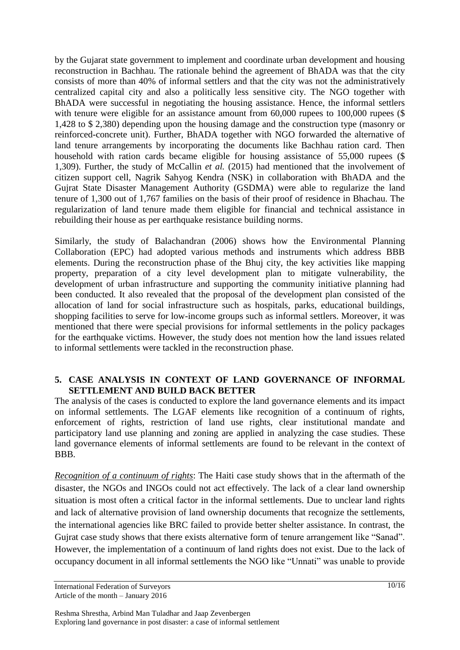by the Gujarat state government to implement and coordinate urban development and housing reconstruction in Bachhau. The rationale behind the agreement of BhADA was that the city consists of more than 40% of informal settlers and that the city was not the administratively centralized capital city and also a politically less sensitive city. The NGO together with BhADA were successful in negotiating the housing assistance. Hence, the informal settlers with tenure were eligible for an assistance amount from 60,000 rupees to 100,000 rupees (\$ 1,428 to \$ 2,380) depending upon the housing damage and the construction type (masonry or reinforced-concrete unit). Further, BhADA together with NGO forwarded the alternative of land tenure arrangements by incorporating the documents like Bachhau ration card. Then household with ration cards became eligible for housing assistance of 55,000 rupees (\$ 1,309). Further, the study of McCallin *et al.* (2015) had mentioned that the involvement of citizen support cell, Nagrik Sahyog Kendra (NSK) in collaboration with BhADA and the Gujrat State Disaster Management Authority (GSDMA) were able to regularize the land tenure of 1,300 out of 1,767 families on the basis of their proof of residence in Bhachau. The regularization of land tenure made them eligible for financial and technical assistance in rebuilding their house as per earthquake resistance building norms.

Similarly, the study of Balachandran (2006) shows how the Environmental Planning Collaboration (EPC) had adopted various methods and instruments which address BBB elements. During the reconstruction phase of the Bhuj city, the key activities like mapping property, preparation of a city level development plan to mitigate vulnerability, the development of urban infrastructure and supporting the community initiative planning had been conducted. It also revealed that the proposal of the development plan consisted of the allocation of land for social infrastructure such as hospitals, parks, educational buildings, shopping facilities to serve for low-income groups such as informal settlers. Moreover, it was mentioned that there were special provisions for informal settlements in the policy packages for the earthquake victims. However, the study does not mention how the land issues related to informal settlements were tackled in the reconstruction phase.

### **5. CASE ANALYSIS IN CONTEXT OF LAND GOVERNANCE OF INFORMAL SETTLEMENT AND BUILD BACK BETTER**

The analysis of the cases is conducted to explore the land governance elements and its impact on informal settlements. The LGAF elements like recognition of a continuum of rights, enforcement of rights, restriction of land use rights, clear institutional mandate and participatory land use planning and zoning are applied in analyzing the case studies. These land governance elements of informal settlements are found to be relevant in the context of BBB.

*Recognition of a continuum of rights*: The Haiti case study shows that in the aftermath of the disaster, the NGOs and INGOs could not act effectively. The lack of a clear land ownership situation is most often a critical factor in the informal settlements. Due to unclear land rights and lack of alternative provision of land ownership documents that recognize the settlements, the international agencies like BRC failed to provide better shelter assistance. In contrast, the Gujrat case study shows that there exists alternative form of tenure arrangement like "Sanad". However, the implementation of a continuum of land rights does not exist. Due to the lack of occupancy document in all informal settlements the NGO like "Unnati" was unable to provide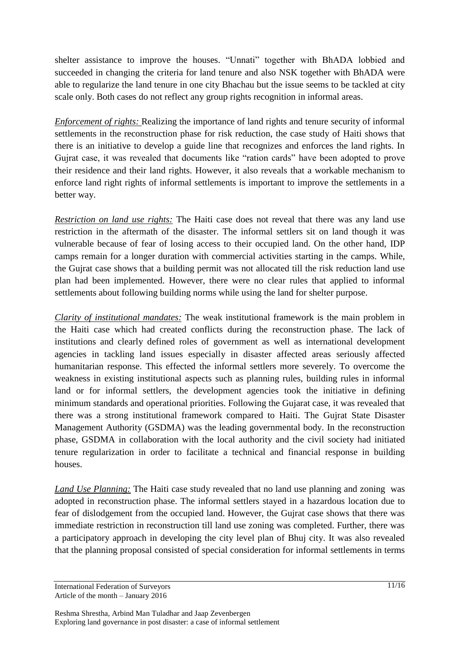shelter assistance to improve the houses. "Unnati" together with BhADA lobbied and succeeded in changing the criteria for land tenure and also NSK together with BhADA were able to regularize the land tenure in one city Bhachau but the issue seems to be tackled at city scale only. Both cases do not reflect any group rights recognition in informal areas.

*Enforcement of rights:* Realizing the importance of land rights and tenure security of informal settlements in the reconstruction phase for risk reduction, the case study of Haiti shows that there is an initiative to develop a guide line that recognizes and enforces the land rights. In Gujrat case, it was revealed that documents like "ration cards" have been adopted to prove their residence and their land rights. However, it also reveals that a workable mechanism to enforce land right rights of informal settlements is important to improve the settlements in a better way.

*Restriction on land use rights:* The Haiti case does not reveal that there was any land use restriction in the aftermath of the disaster. The informal settlers sit on land though it was vulnerable because of fear of losing access to their occupied land. On the other hand, IDP camps remain for a longer duration with commercial activities starting in the camps. While, the Gujrat case shows that a building permit was not allocated till the risk reduction land use plan had been implemented. However, there were no clear rules that applied to informal settlements about following building norms while using the land for shelter purpose.

*Clarity of institutional mandates:* The weak institutional framework is the main problem in the Haiti case which had created conflicts during the reconstruction phase. The lack of institutions and clearly defined roles of government as well as international development agencies in tackling land issues especially in disaster affected areas seriously affected humanitarian response. This effected the informal settlers more severely. To overcome the weakness in existing institutional aspects such as planning rules, building rules in informal land or for informal settlers, the development agencies took the initiative in defining minimum standards and operational priorities. Following the Gujarat case, it was revealed that there was a strong institutional framework compared to Haiti. The Gujrat State Disaster Management Authority (GSDMA) was the leading governmental body. In the reconstruction phase, GSDMA in collaboration with the local authority and the civil society had initiated tenure regularization in order to facilitate a technical and financial response in building houses.

*Land Use Planning:* The Haiti case study revealed that no land use planning and zoning was adopted in reconstruction phase. The informal settlers stayed in a hazardous location due to fear of dislodgement from the occupied land. However, the Gujrat case shows that there was immediate restriction in reconstruction till land use zoning was completed. Further, there was a participatory approach in developing the city level plan of Bhuj city. It was also revealed that the planning proposal consisted of special consideration for informal settlements in terms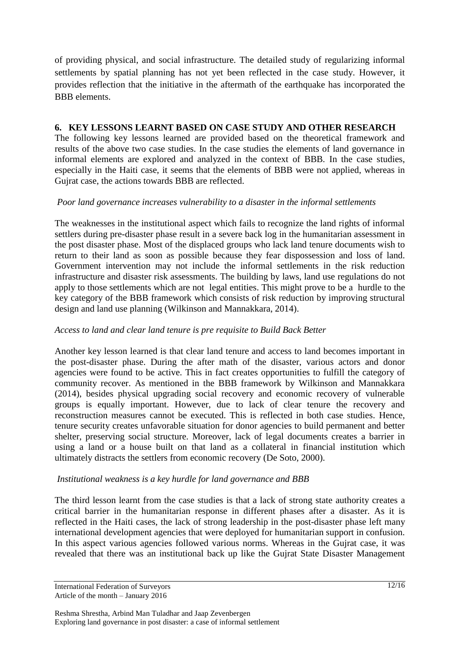of providing physical, and social infrastructure. The detailed study of regularizing informal settlements by spatial planning has not yet been reflected in the case study. However, it provides reflection that the initiative in the aftermath of the earthquake has incorporated the BBB elements.

### **6. KEY LESSONS LEARNT BASED ON CASE STUDY AND OTHER RESEARCH**

The following key lessons learned are provided based on the theoretical framework and results of the above two case studies. In the case studies the elements of land governance in informal elements are explored and analyzed in the context of BBB. In the case studies, especially in the Haiti case, it seems that the elements of BBB were not applied, whereas in Gujrat case, the actions towards BBB are reflected.

### *Poor land governance increases vulnerability to a disaster in the informal settlements*

The weaknesses in the institutional aspect which fails to recognize the land rights of informal settlers during pre-disaster phase result in a severe back log in the humanitarian assessment in the post disaster phase. Most of the displaced groups who lack land tenure documents wish to return to their land as soon as possible because they fear dispossession and loss of land. Government intervention may not include the informal settlements in the risk reduction infrastructure and disaster risk assessments. The building by laws, land use regulations do not apply to those settlements which are not legal entities. This might prove to be a hurdle to the key category of the BBB framework which consists of risk reduction by improving structural design and land use planning (Wilkinson and Mannakkara, 2014).

### *Access to land and clear land tenure is pre requisite to Build Back Better*

Another key lesson learned is that clear land tenure and access to land becomes important in the post-disaster phase. During the after math of the disaster, various actors and donor agencies were found to be active. This in fact creates opportunities to fulfill the category of community recover. As mentioned in the BBB framework by Wilkinson and Mannakkara (2014), besides physical upgrading social recovery and economic recovery of vulnerable groups is equally important. However, due to lack of clear tenure the recovery and reconstruction measures cannot be executed. This is reflected in both case studies. Hence, tenure security creates unfavorable situation for donor agencies to build permanent and better shelter, preserving social structure. Moreover, lack of legal documents creates a barrier in using a land or a house built on that land as a collateral in financial institution which ultimately distracts the settlers from economic recovery (De Soto, 2000).

### *Institutional weakness is a key hurdle for land governance and BBB*

The third lesson learnt from the case studies is that a lack of strong state authority creates a critical barrier in the humanitarian response in different phases after a disaster. As it is reflected in the Haiti cases, the lack of strong leadership in the post-disaster phase left many international development agencies that were deployed for humanitarian support in confusion. In this aspect various agencies followed various norms. Whereas in the Gujrat case, it was revealed that there was an institutional back up like the Gujrat State Disaster Management

International Federation of Surveyors Article of the month – January 2016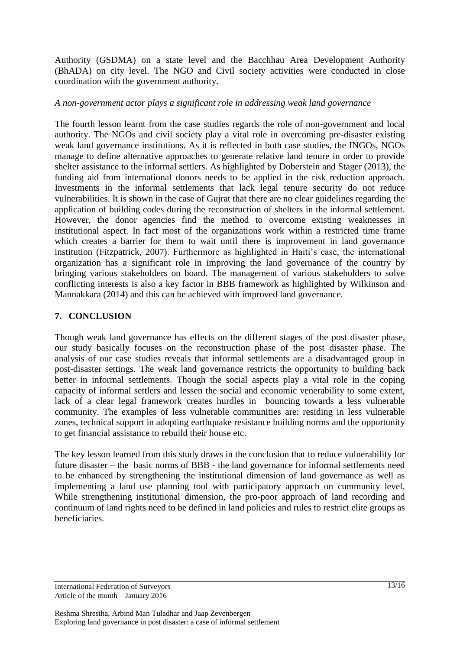Authority (GSDMA) on a state level and the Bacchhau Area Development Authority (BhADA) on city level. The NGO and Civil society activities were conducted in close coordination with the government authority.

#### *A non-government actor plays a significant role in addressing weak land governance*

The fourth lesson learnt from the case studies regards the role of non-government and local authority. The NGOs and civil society play a vital role in overcoming pre-disaster existing weak land governance institutions. As it is reflected in both case studies, the INGOs, NGOs manage to define alternative approaches to generate relative land tenure in order to provide shelter assistance to the informal settlers. As highlighted by Doberstein and Stager (2013), the funding aid from international donors needs to be applied in the risk reduction approach. Investments in the informal settlements that lack legal tenure security do not reduce vulnerabilities. It is shown in the case of Gujrat that there are no clear guidelines regarding the application of building codes during the reconstruction of shelters in the informal settlement. However, the donor agencies find the method to overcome existing weaknesses in institutional aspect. In fact most of the organizations work within a restricted time frame which creates a barrier for them to wait until there is improvement in land governance institution (Fitzpatrick, 2007). Furthermore as highlighted in Haiti"s case, the international organization has a significant role in improving the land governance of the country by bringing various stakeholders on board. The management of various stakeholders to solve conflicting interests is also a key factor in BBB framework as highlighted by Wilkinson and Mannakkara (2014) and this can be achieved with improved land governance.

### **7. CONCLUSION**

Though weak land governance has effects on the different stages of the post disaster phase, our study basically focuses on the reconstruction phase of the post disaster phase. The analysis of our case studies reveals that informal settlements are a disadvantaged group in post-disaster settings. The weak land governance restricts the opportunity to building back better in informal settlements. Though the social aspects play a vital role in the coping capacity of informal settlers and lessen the social and economic venerability to some extent, lack of a clear legal framework creates hurdles in bouncing towards a less vulnerable community. The examples of less vulnerable communities are: residing in less vulnerable zones, technical support in adopting earthquake resistance building norms and the opportunity to get financial assistance to rebuild their house etc.

The key lesson learned from this study draws in the conclusion that to reduce vulnerability for future disaster – the basic norms of BBB - the land governance for informal settlements need to be enhanced by strengthening the institutional dimension of land governance as well as implementing a land use planning tool with participatory approach on cummunity level. While strengthening institutional dimension, the pro-poor approach of land recording and continuum of land rights need to be defined in land policies and rules to restrict elite groups as beneficiaries.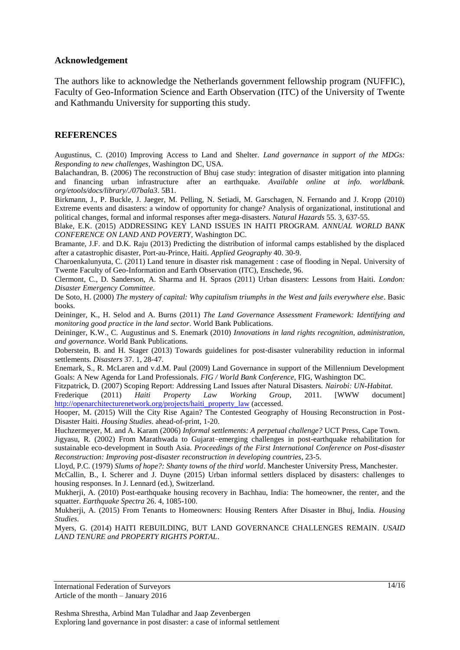#### **Acknowledgement**

The authors like to acknowledge the Netherlands government fellowship program (NUFFIC), Faculty of Geo-Information Science and Earth Observation (ITC) of the University of Twente and Kathmandu University for supporting this study.

#### **REFERENCES**

Augustinus, C. (2010) Improving Access to Land and Shelter. *Land governance in support of the MDGs: Responding to new challenges*, Washington DC, USA.

Balachandran, B. (2006) The reconstruction of Bhuj case study: integration of disaster mitigation into planning and financing urban infrastructure after an earthquake. *Available online at info. worldbank. org/etools/docs/library/./07bala3*. 5B1.

Birkmann, J., P. Buckle, J. Jaeger, M. Pelling, N. Setiadi, M. Garschagen, N. Fernando and J. Kropp (2010) Extreme events and disasters: a window of opportunity for change? Analysis of organizational, institutional and political changes, formal and informal responses after mega-disasters. *Natural Hazards* 55. 3, 637-55.

Blake, E.K. (2015) ADDRESSING KEY LAND ISSUES IN HAITI PROGRAM. *ANNUAL WORLD BANK CONFERENCE ON LAND AND POVERTY*, Washington DC.

Bramante, J.F. and D.K. Raju (2013) Predicting the distribution of informal camps established by the displaced after a catastrophic disaster, Port-au-Prince, Haiti. *Applied Geography* 40. 30-9.

Charoenkalunyuta, C. (2011) Land tenure in disaster risk management : case of flooding in Nepal. University of Twente Faculty of Geo-Information and Earth Observation (ITC), Enschede, 96.

Clermont, C., D. Sanderson, A. Sharma and H. Spraos (2011) Urban disasters: Lessons from Haiti. *London: Disaster Emergency Committee*.

De Soto, H. (2000) *The mystery of capital: Why capitalism triumphs in the West and fails everywhere else*. Basic books.

Deininger, K., H. Selod and A. Burns (2011) *The Land Governance Assessment Framework: Identifying and monitoring good practice in the land sector*. World Bank Publications.

Deininger, K.W., C. Augustinus and S. Enemark (2010) *Innovations in land rights recognition, administration, and governance*. World Bank Publications.

Doberstein, B. and H. Stager (2013) Towards guidelines for post‐disaster vulnerability reduction in informal settlements. *Disasters* 37. 1, 28-47.

Enemark, S., R. McLaren and v.d.M. Paul (2009) Land Governance in support of the Millennium Development Goals: A New Agenda for Land Professionals. *FIG / World Bank Conference*, FIG, Washington DC.

Fitzpatrick, D. (2007) Scoping Report: Addressing Land Issues after Natural Disasters. *Nairobi: UN-Habitat*. Frederique (2011) *Haiti Property Law Working Group*, 2011. [WWW document] [http://openarchitecturenetwork.org/projects/haiti\\_property\\_law](http://openarchitecturenetwork.org/projects/haiti_property_law) (accessed.

Hooper, M. (2015) Will the City Rise Again? The Contested Geography of Housing Reconstruction in Post-Disaster Haiti. *Housing Studies*. ahead-of-print, 1-20.

Huchzermeyer, M. and A. Karam (2006) *Informal settlements: A perpetual challenge?* UCT Press, Cape Town.

Jigyasu, R. (2002) From Marathwada to Gujarat–emerging challenges in post-earthquake rehabilitation for sustainable eco-development in South Asia. *Proceedings of the First International Conference on Post-disaster Reconstruction: Improving post-disaster reconstruction in developing countries*, 23-5.

Lloyd, P.C. (1979) *Slums of hope?: Shanty towns of the third world*. Manchester University Press, Manchester.

McCallin, B., I. Scherer and J. Duyne (2015) Urban informal settlers displaced by disasters: challenges to housing responses. In J. Lennard (ed.), Switzerland.

Mukherji, A. (2010) Post-earthquake housing recovery in Bachhau, India: The homeowner, the renter, and the squatter. *Earthquake Spectra* 26. 4, 1085-100.

Mukherji, A. (2015) From Tenants to Homeowners: Housing Renters After Disaster in Bhuj, India. *Housing Studies*.

Myers, G. (2014) HAITI REBUILDING, BUT LAND GOVERNANCE CHALLENGES REMAIN. *USAID LAND TENURE and PROPERTY RIGHTS PORTAL*.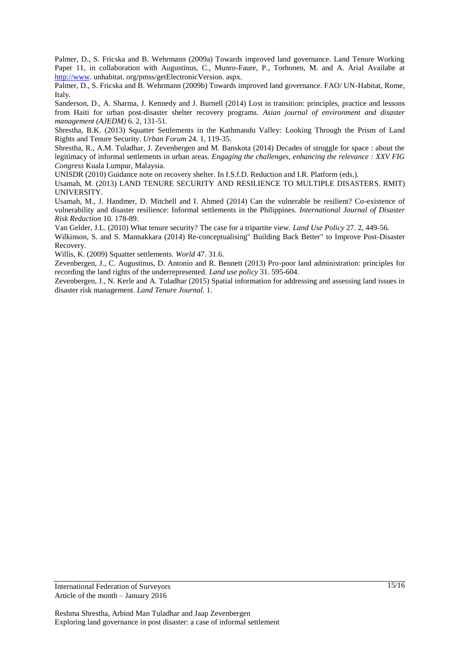Palmer, D., S. Fricska and B. Wehrmann (2009a) Towards improved land governance. Land Tenure Working Paper 11, in collaboration with Augustinus, C., Munro-Faure, P., Torhonen, M. and A. Arial Availabe at [http://www.](http://www/) unhabitat. org/pmss/getElectronicVersion. aspx.

Palmer, D., S. Fricska and B. Wehrmann (2009b) Towards improved land governance. FAO/ UN-Habitat, Rome, Italy.

Sanderson, D., A. Sharma, J. Kennedy and J. Burnell (2014) Lost in transition: principles, practice and lessons from Haiti for urban post-disaster shelter recovery programs. *Asian journal of environment and disaster management (AJEDM)* 6. 2, 131-51.

Shrestha, B.K. (2013) Squatter Settlements in the Kathmandu Valley: Looking Through the Prism of Land Rights and Tenure Security. *Urban Forum* 24. 1, 119-35.

Shrestha, R., A.M. Tuladhar, J. Zevenbergen and M. Banskota (2014) Decades of struggle for space : about the legitimacy of informal settlements in urban areas. *Engaging the challenges, enhancing the relevance : XXV FIG Congress* Kuala Lumpur, Malaysia.

UNISDR (2010) Guidance note on recovery shelter. In I.S.f.D. Reduction and I.R. Platform (eds.).

Usamah, M. (2013) LAND TENURE SECURITY AND RESILIENCE TO MULTIPLE DISASTERS. RMIT) UNIVERSITY.

Usamah, M., J. Handmer, D. Mitchell and I. Ahmed (2014) Can the vulnerable be resilient? Co-existence of vulnerability and disaster resilience: Informal settlements in the Philippines. *International Journal of Disaster Risk Reduction* 10. 178-89.

Van Gelder, J.L. (2010) What tenure security? The case for a tripartite view. *Land Use Policy* 27. 2, 449-56.

Wilkinson, S. and S. Mannakkara (2014) Re-conceptualising" Building Back Better" to Improve Post-Disaster Recovery.

Willis, K. (2009) Squatter settlements. *World* 47. 31.6.

Zevenbergen, J., C. Augustinus, D. Antonio and R. Bennett (2013) Pro-poor land administration: principles for recording the land rights of the underrepresented. *Land use policy* 31. 595-604.

Zevenbergen, J., N. Kerle and A. Tuladhar (2015) Spatial information for addressing and assessing land issues in disaster risk management. *Land Tenure Journal*. 1.